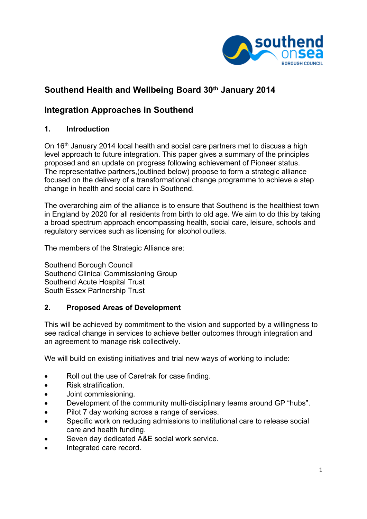

# **Southend Health and Wellbeing Board 30th January 2014**

## **Integration Approaches in Southend**

## **1. Introduction**

On 16th January 2014 local health and social care partners met to discuss a high level approach to future integration. This paper gives a summary of the principles proposed and an update on progress following achievement of Pioneer status. The representative partners,(outlined below) propose to form a strategic alliance focused on the delivery of a transformational change programme to achieve a step change in health and social care in Southend.

The overarching aim of the alliance is to ensure that Southend is the healthiest town in England by 2020 for all residents from birth to old age. We aim to do this by taking a broad spectrum approach encompassing health, social care, leisure, schools and regulatory services such as licensing for alcohol outlets.

The members of the Strategic Alliance are:

Southend Borough Council Southend Clinical Commissioning Group Southend Acute Hospital Trust South Essex Partnership Trust

## **2. Proposed Areas of Development**

This will be achieved by commitment to the vision and supported by a willingness to see radical change in services to achieve better outcomes through integration and an agreement to manage risk collectively.

We will build on existing initiatives and trial new ways of working to include:

- Roll out the use of Caretrak for case finding.
- Risk stratification.
- Joint commissioning.
- Development of the community multi-disciplinary teams around GP "hubs".
- Pilot 7 day working across a range of services.
- Specific work on reducing admissions to institutional care to release social care and health funding.
- Seven day dedicated A&E social work service.
- Integrated care record.